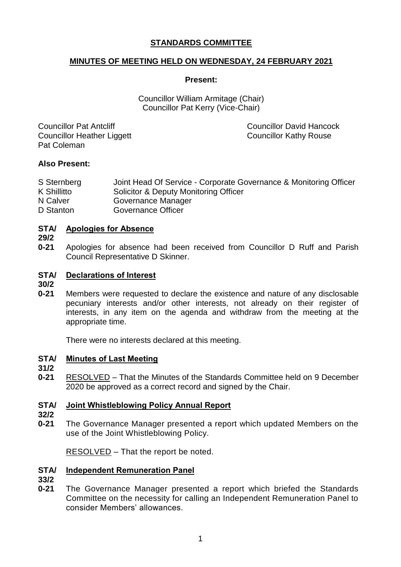# **STANDARDS COMMITTEE**

# **MINUTES OF MEETING HELD ON WEDNESDAY, 24 FEBRUARY 2021**

### **Present:**

Councillor William Armitage (Chair) Councillor Pat Kerry (Vice-Chair)

Councillor Pat Antcliff Councillor David Hancock Councillor Heather Liggett Councillor Kathy Rouse Pat Coleman

## **Also Present:**

| S Sternberg | Joint Head Of Service - Corporate Governance & Monitoring Officer |
|-------------|-------------------------------------------------------------------|
| K Shillitto | Solicitor & Deputy Monitoring Officer                             |
| N Calver    | Governance Manager                                                |
| D Stanton   | Governance Officer                                                |

#### **STA/ Apologies for Absence**

**29/2**

**0-21** Apologies for absence had been received from Councillor D Ruff and Parish Council Representative D Skinner.

#### **STA/ Declarations of Interest**

**30/2**

**0-21** Members were requested to declare the existence and nature of any disclosable pecuniary interests and/or other interests, not already on their register of interests, in any item on the agenda and withdraw from the meeting at the appropriate time.

There were no interests declared at this meeting.

#### **STA/ Minutes of Last Meeting**

- **31/2**
- **0-21** RESOLVED – That the Minutes of the Standards Committee held on 9 December 2020 be approved as a correct record and signed by the Chair.

#### **STA/ Joint Whistleblowing Policy Annual Report**

**32/2**

**0-21** The Governance Manager presented a report which updated Members on the use of the Joint Whistleblowing Policy.

RESOLVED – That the report be noted.

#### **STA/ Independent Remuneration Panel**

**33/2**

**0-21** The Governance Manager presented a report which briefed the Standards Committee on the necessity for calling an Independent Remuneration Panel to consider Members' allowances.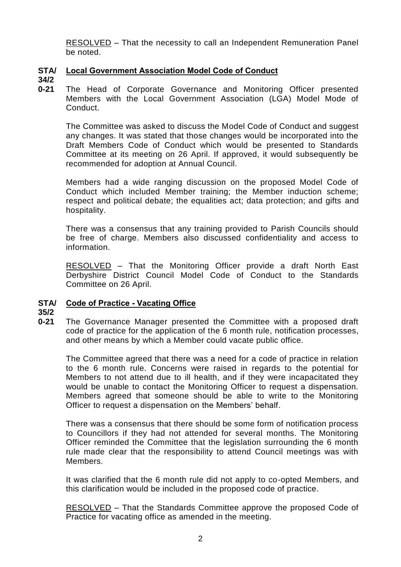RESOLVED – That the necessity to call an Independent Remuneration Panel be noted.

### **STA/ Local Government Association Model Code of Conduct**

**34/2**

**0-21** The Head of Corporate Governance and Monitoring Officer presented Members with the Local Government Association (LGA) Model Mode of Conduct.

The Committee was asked to discuss the Model Code of Conduct and suggest any changes. It was stated that those changes would be incorporated into the Draft Members Code of Conduct which would be presented to Standards Committee at its meeting on 26 April. If approved, it would subsequently be recommended for adoption at Annual Council.

Members had a wide ranging discussion on the proposed Model Code of Conduct which included Member training; the Member induction scheme; respect and political debate; the equalities act; data protection; and gifts and hospitality.

There was a consensus that any training provided to Parish Councils should be free of charge. Members also discussed confidentiality and access to information.

RESOLVED – That the Monitoring Officer provide a draft North East Derbyshire District Council Model Code of Conduct to the Standards Committee on 26 April.

# **STA/ Code of Practice - Vacating Office**

# **35/2**

**0-21** The Governance Manager presented the Committee with a proposed draft code of practice for the application of the 6 month rule, notification processes, and other means by which a Member could vacate public office.

The Committee agreed that there was a need for a code of practice in relation to the 6 month rule. Concerns were raised in regards to the potential for Members to not attend due to ill health, and if they were incapacitated they would be unable to contact the Monitoring Officer to request a dispensation. Members agreed that someone should be able to write to the Monitoring Officer to request a dispensation on the Members' behalf.

There was a consensus that there should be some form of notification process to Councillors if they had not attended for several months. The Monitoring Officer reminded the Committee that the legislation surrounding the 6 month rule made clear that the responsibility to attend Council meetings was with Members.

It was clarified that the 6 month rule did not apply to co-opted Members, and this clarification would be included in the proposed code of practice.

RESOLVED – That the Standards Committee approve the proposed Code of Practice for vacating office as amended in the meeting.